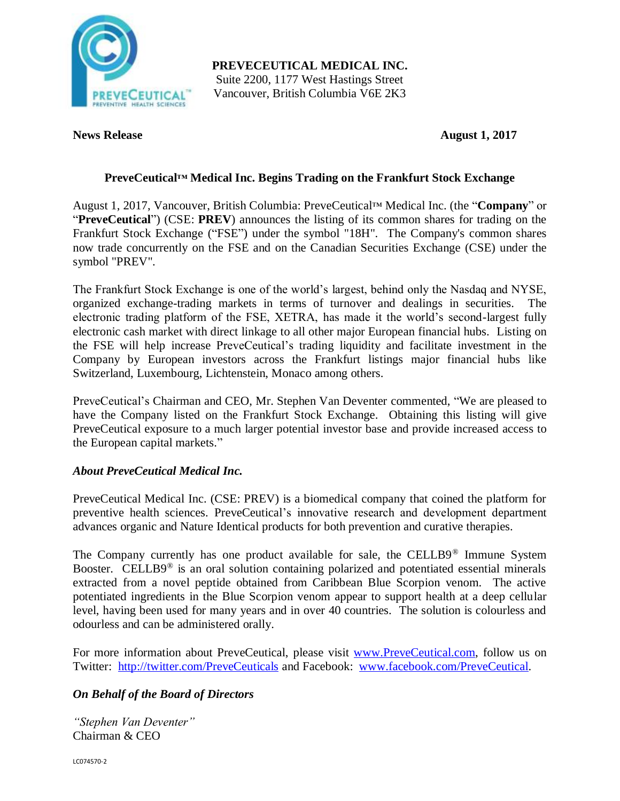

**PREVECEUTICAL MEDICAL INC.** Suite 2200, 1177 West Hastings Street Vancouver, British Columbia V6E 2K3

**News Release August 1, 2017** 

## **PreveCeutical™ Medical Inc. Begins Trading on the Frankfurt Stock Exchange**

August 1, 2017, Vancouver, British Columbia: PreveCeutical™ Medical Inc. (the "**Company**" or "**PreveCeutical**") (CSE: **PREV**) announces the listing of its common shares for trading on the Frankfurt Stock Exchange ("FSE") under the symbol "18H". The Company's common shares now trade concurrently on the FSE and on the Canadian Securities Exchange (CSE) under the symbol "PREV".

The Frankfurt Stock Exchange is one of the world's largest, behind only the Nasdaq and NYSE, organized exchange-trading markets in terms of turnover and dealings in securities. The electronic trading platform of the FSE, XETRA, has made it the world's second-largest fully electronic cash market with direct linkage to all other major European financial hubs. Listing on the FSE will help increase PreveCeutical's trading liquidity and facilitate investment in the Company by European investors across the Frankfurt listings major financial hubs like Switzerland, Luxembourg, Lichtenstein, Monaco among others.

PreveCeutical's Chairman and CEO, Mr. Stephen Van Deventer commented, "We are pleased to have the Company listed on the Frankfurt Stock Exchange. Obtaining this listing will give PreveCeutical exposure to a much larger potential investor base and provide increased access to the European capital markets."

### *About PreveCeutical Medical Inc.*

PreveCeutical Medical Inc. (CSE: PREV) is a biomedical company that coined the platform for preventive health sciences. PreveCeutical's innovative research and development department advances organic and Nature Identical products for both prevention and curative therapies.

The Company currently has one product available for sale, the CELLB9® Immune System Booster. CELLB9® is an oral solution containing polarized and potentiated essential minerals extracted from a novel peptide obtained from Caribbean Blue Scorpion venom. The active potentiated ingredients in the Blue Scorpion venom appear to support health at a deep cellular level, having been used for many years and in over 40 countries. The solution is colourless and odourless and can be administered orally.

For more information about PreveCeutical, please visit [www.PreveCeutical.com,](http://www.preveceutical.com/) follow us on Twitter: <http://twitter.com/PreveCeuticals> and Facebook: [www.facebook.com/PreveCeutical.](http://www.facebook.com/PreveCeutical)

# *On Behalf of the Board of Directors*

*"Stephen Van Deventer"* Chairman & CEO